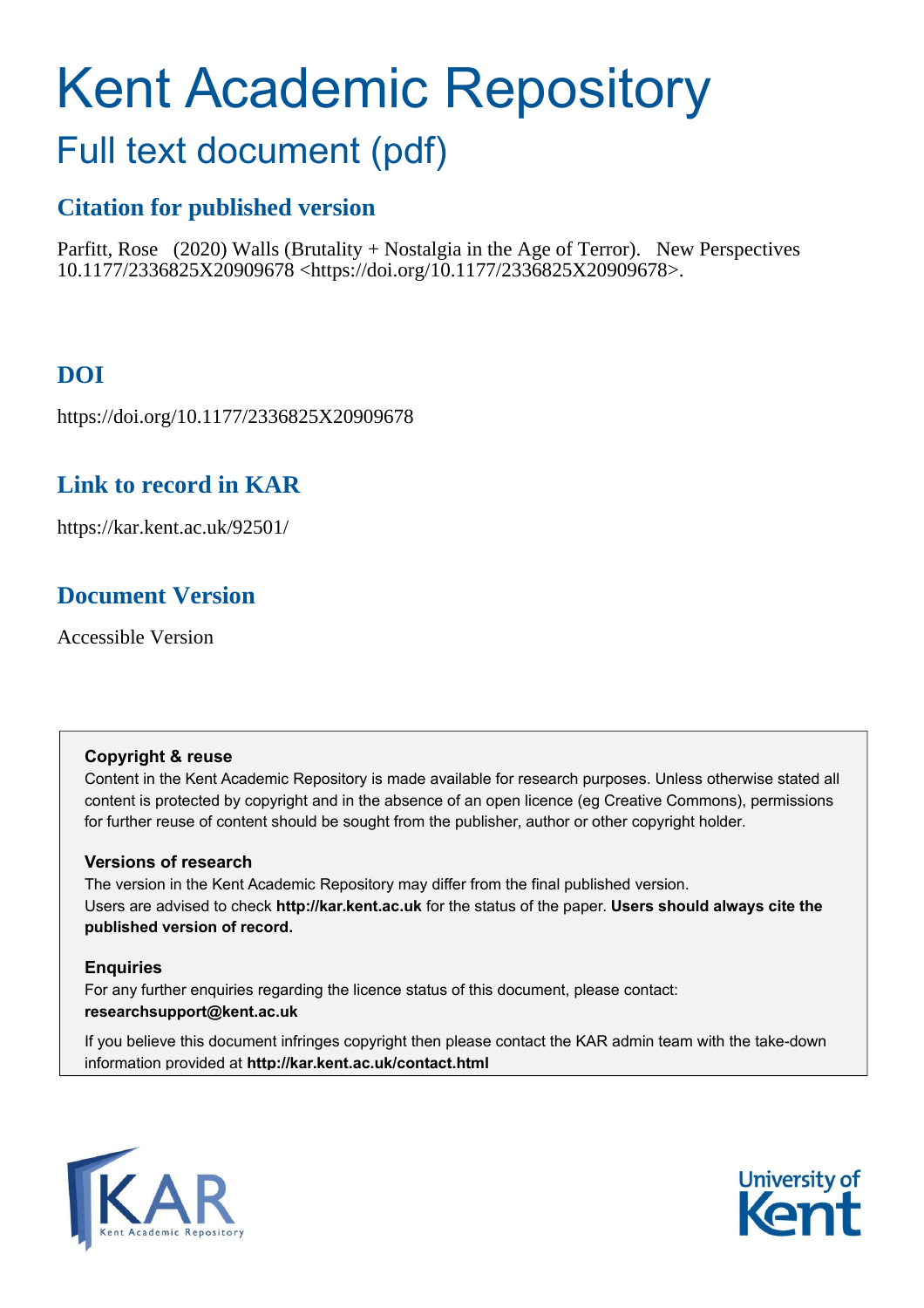# Kent Academic Repository

## Full text document (pdf)

## **Citation for published version**

Parfitt, Rose (2020) Walls (Brutality + Nostalgia in the Age of Terror). New Perspectives 10.1177/2336825X20909678 <https://doi.org/10.1177/2336825X20909678>.

## **DOI**

https://doi.org/10.1177/2336825X20909678

## **Link to record in KAR**

https://kar.kent.ac.uk/92501/

## **Document Version**

Accessible Version

#### **Copyright & reuse**

Content in the Kent Academic Repository is made available for research purposes. Unless otherwise stated all content is protected by copyright and in the absence of an open licence (eg Creative Commons), permissions for further reuse of content should be sought from the publisher, author or other copyright holder.

#### **Versions of research**

The version in the Kent Academic Repository may differ from the final published version. Users are advised to check **http://kar.kent.ac.uk** for the status of the paper. **Users should always cite the published version of record.**

#### **Enquiries**

For any further enquiries regarding the licence status of this document, please contact: **researchsupport@kent.ac.uk**

If you believe this document infringes copyright then please contact the KAR admin team with the take-down information provided at **http://kar.kent.ac.uk/contact.html**



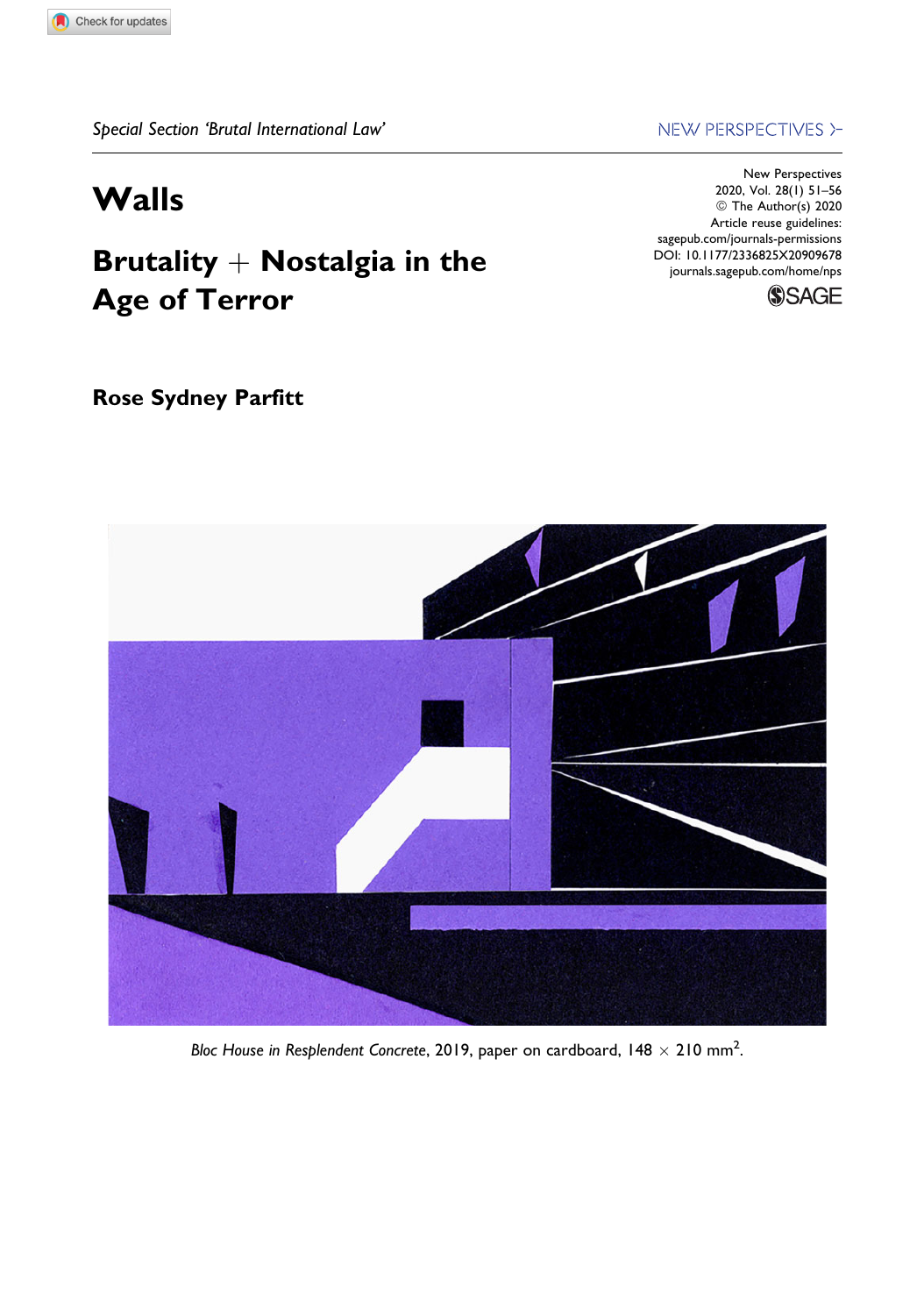## Walls

## Brutality  $+$  Nostalgia in the Age of Terror

#### Rose Sydney Parfitt

NEW PERSPECTIVES >-

New Perspectives 2020, Vol. 28(1) 51–56 © The Author(s) 2020 Article reuse guidelines: [sagepub.com/journals-permissions](https://sagepub.com/journals-permissions) [DOI: 10.1177/2336825X20909678](https://doi.org/10.1177/2336825X20909678) [journals.sagepub.com/home/nps](http://journals.sagepub.com/home/nps)





Bloc House in Resplendent Concrete, 2019, paper on cardboard, 148  $\times$  210 mm<sup>2</sup>.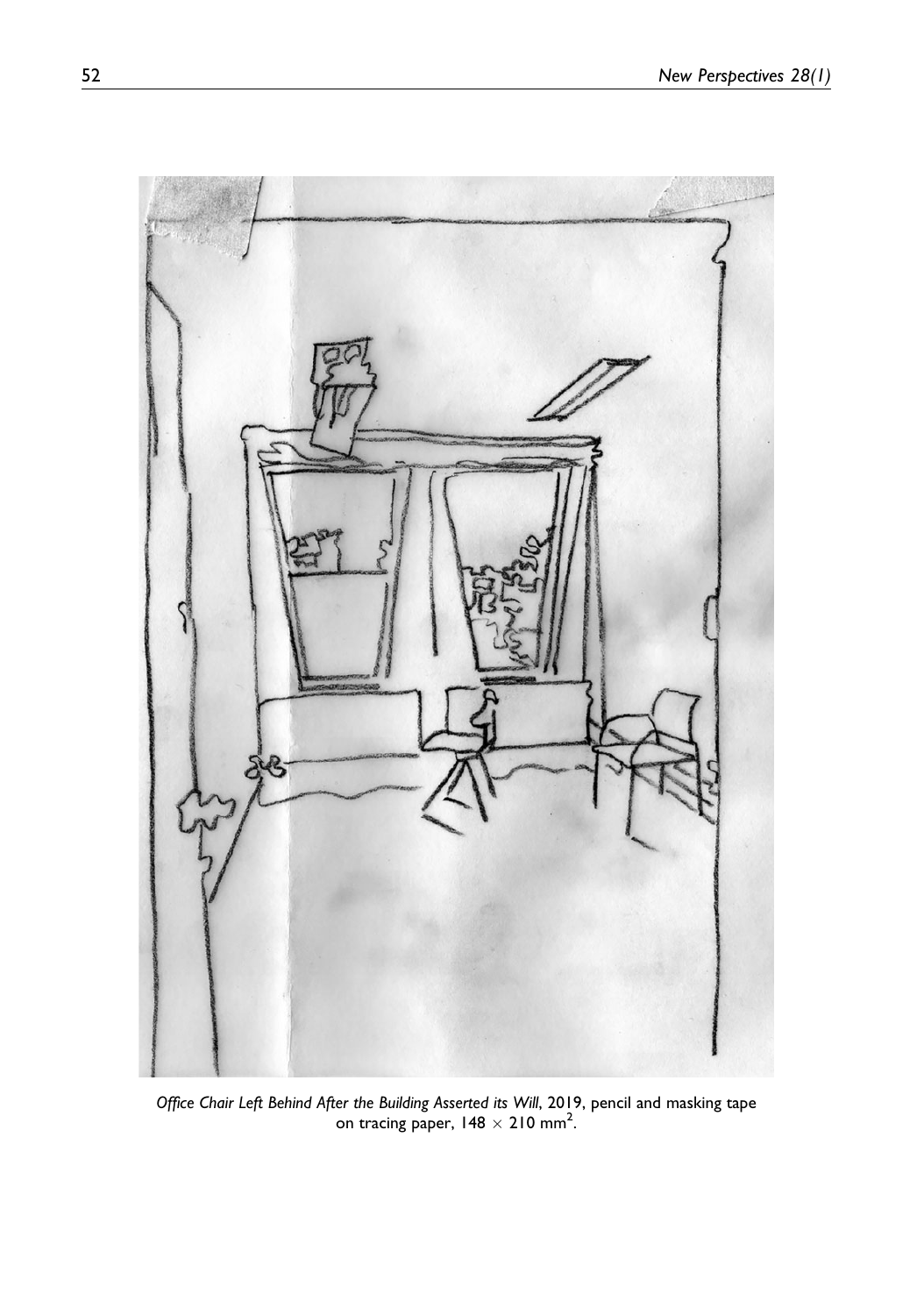

Office Chair Left Behind After the Building Asserted its Will, 2019, pencil and masking tape on tracing paper,  $148 \times 210$  mm<sup>2</sup>.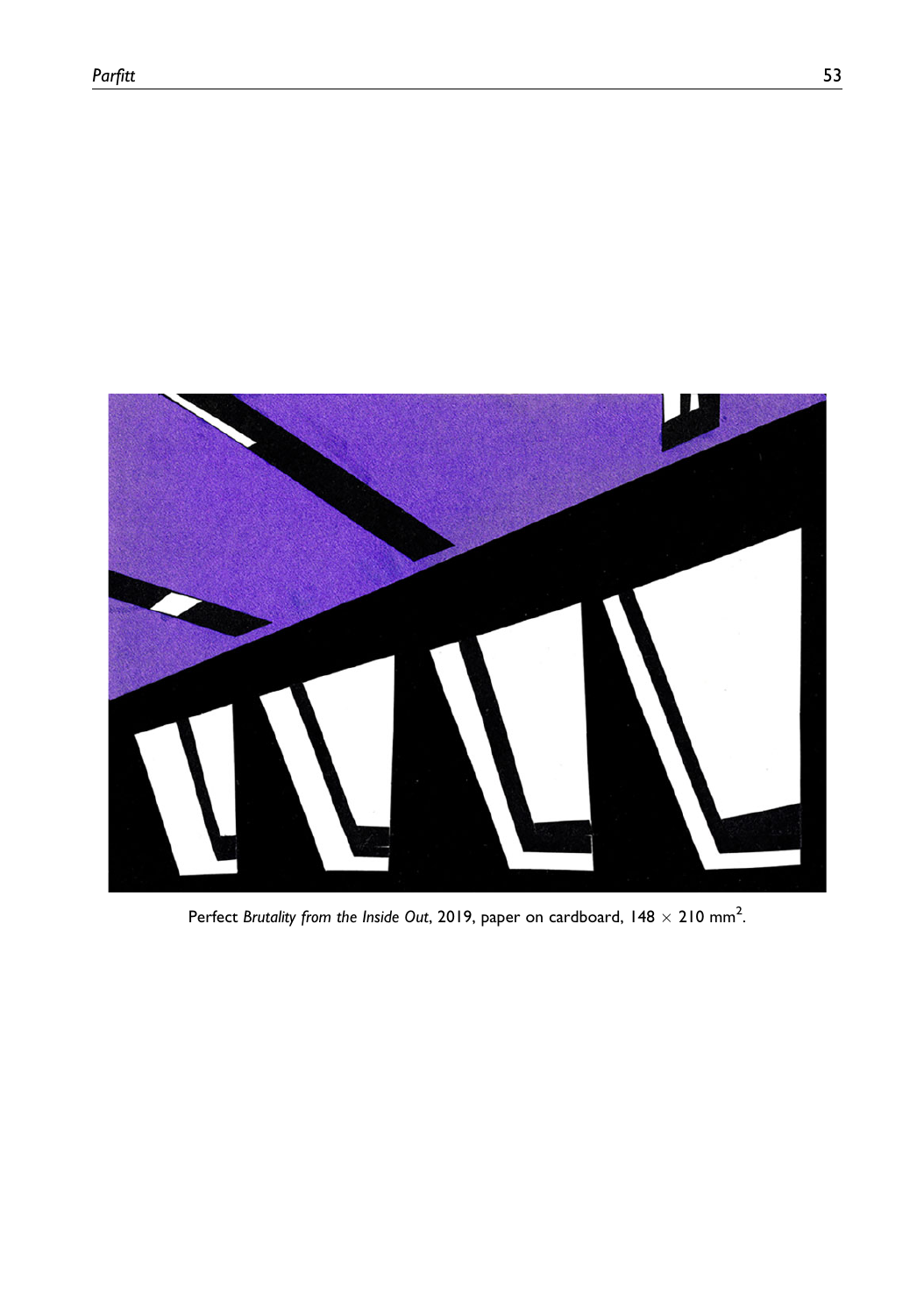

Perfect Brutality from the Inside Out, 2019, paper on cardboard, 148  $\times$  210 mm<sup>2</sup>.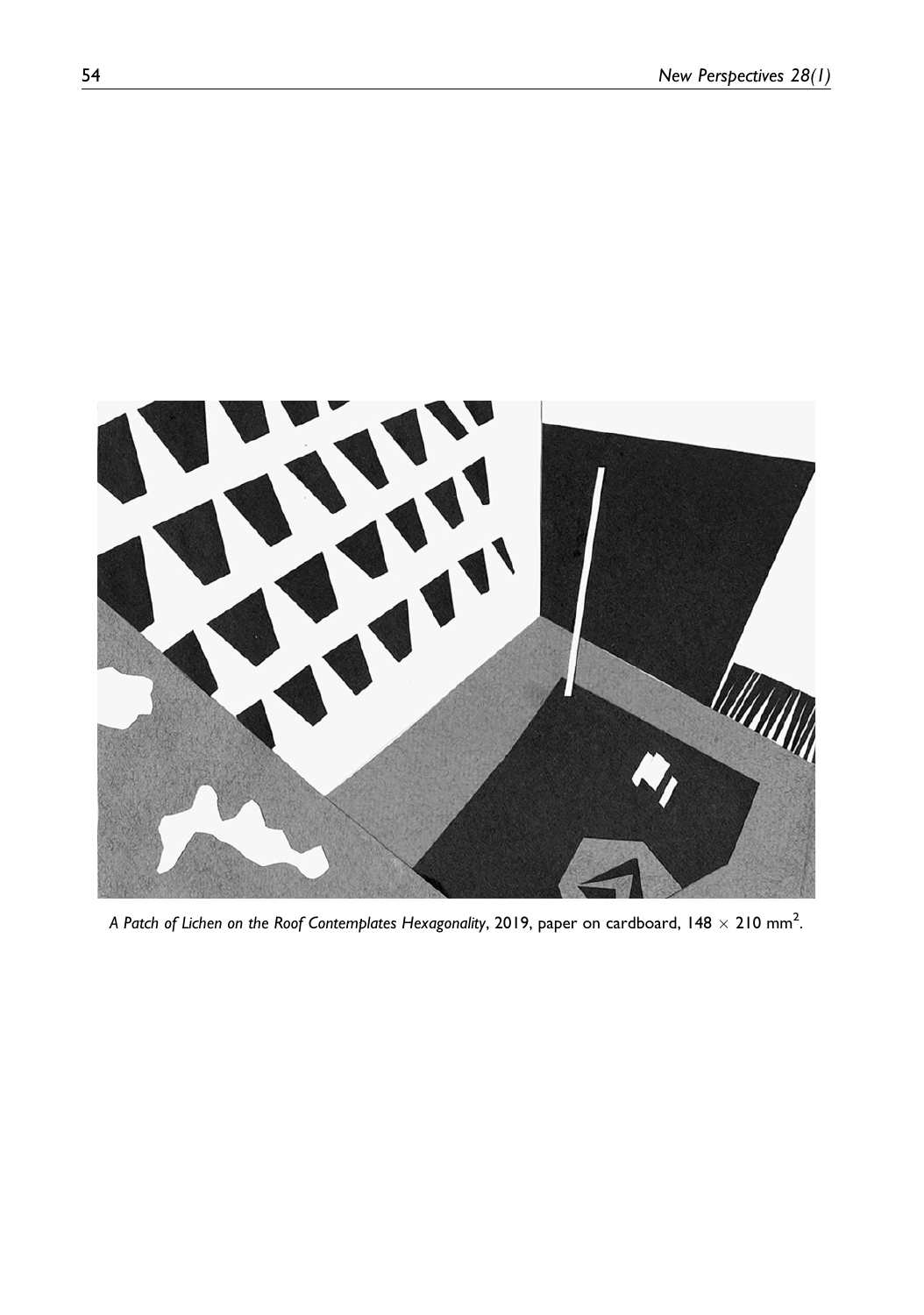

A Patch of Lichen on the Roof Contemplates Hexagonality, 2019, paper on cardboard, 148  $\times$  210 mm $^2$ .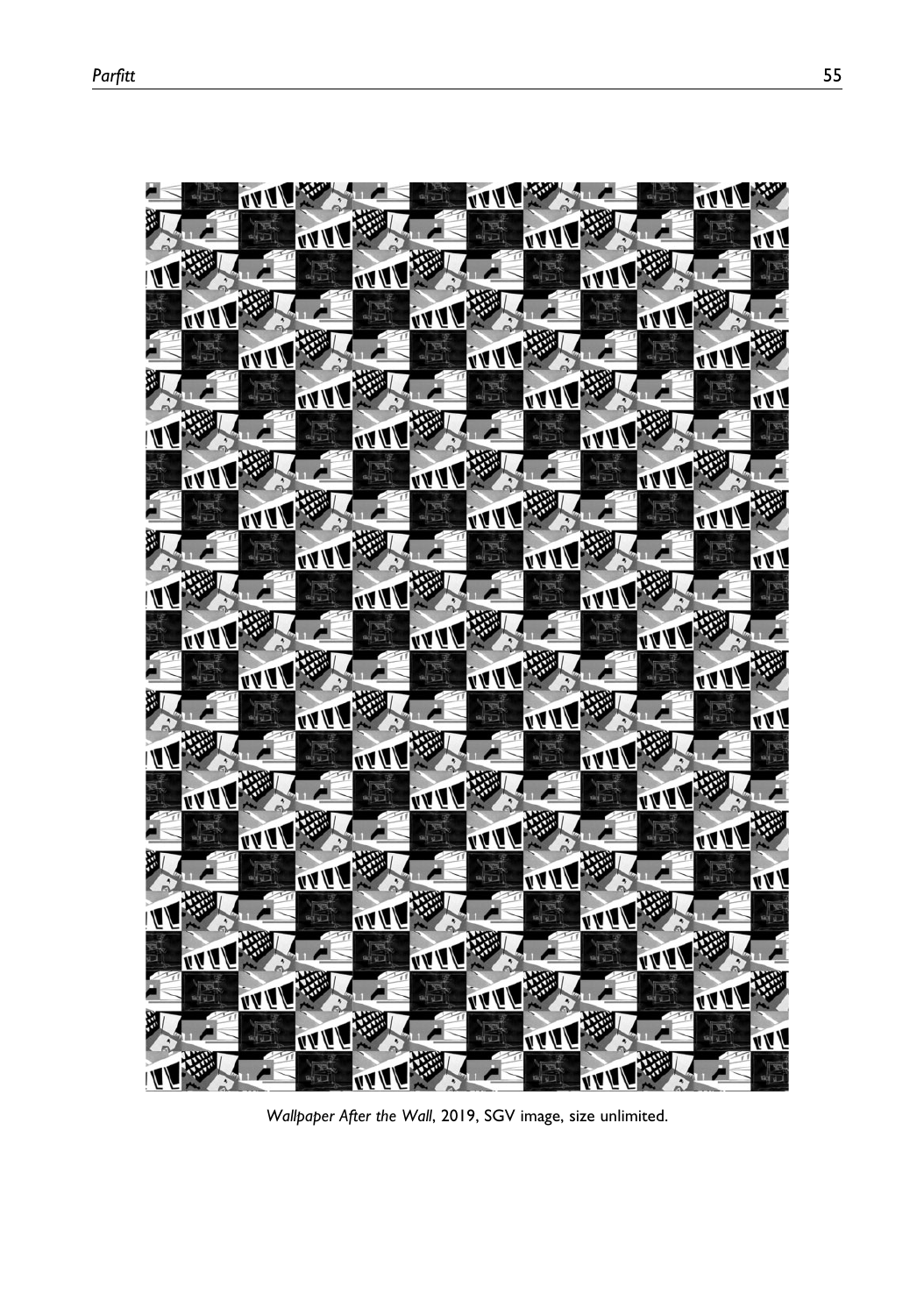

Wallpaper After the Wall, 2019, SGV image, size unlimited.